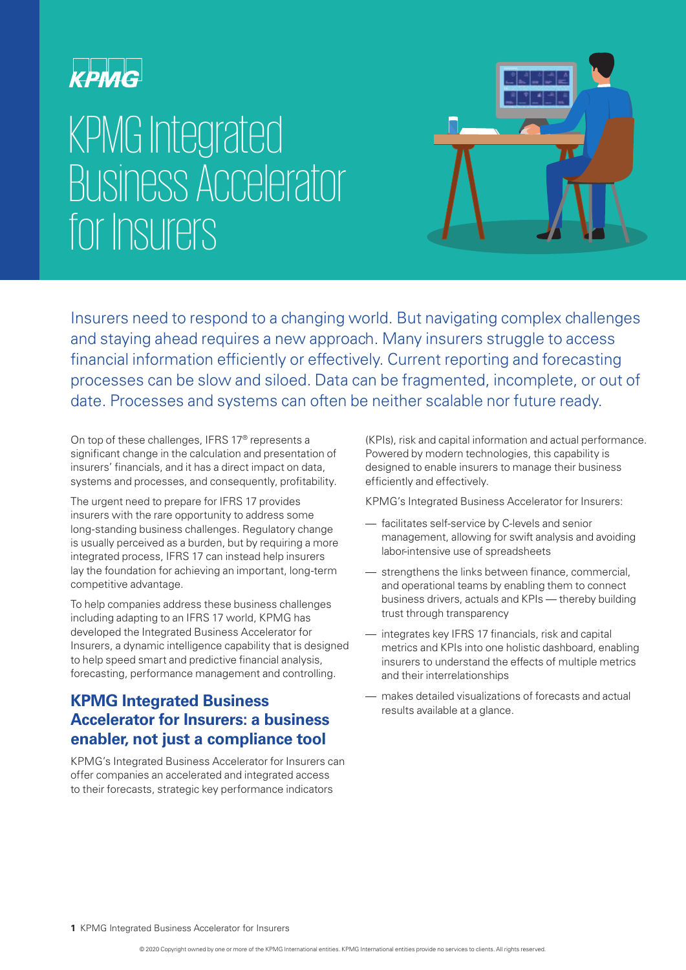## KPMG

## KPMG Integrated Business Accelerator for Insurers



Insurers need to respond to a changing world. But navigating complex challenges and staying ahead requires a new approach. Many insurers struggle to access financial information efficiently or effectively. Current reporting and forecasting processes can be slow and siloed. Data can be fragmented, incomplete, or out of date. Processes and systems can often be neither scalable nor future ready.

On top of these challenges, IFRS 17® represents a significant change in the calculation and presentation of insurers' financials, and it has a direct impact on data, systems and processes, and consequently, profitability.

The urgent need to prepare for IFRS 17 provides insurers with the rare opportunity to address some long-standing business challenges. Regulatory change is usually perceived as a burden, but by requiring a more integrated process, IFRS 17 can instead help insurers lay the foundation for achieving an important, long-term competitive advantage.

To help companies address these business challenges including adapting to an IFRS 17 world, KPMG has developed the Integrated Business Accelerator for Insurers, a dynamic intelligence capability that is designed to help speed smart and predictive financial analysis, forecasting, performance management and controlling.

### **KPMG Integrated Business Accelerator for Insurers: a business enabler, not just a compliance tool**

KPMG's Integrated Business Accelerator for Insurers can offer companies an accelerated and integrated access to their forecasts, strategic key performance indicators

(KPIs), risk and capital information and actual performance. Powered by modern technologies, this capability is designed to enable insurers to manage their business efficiently and effectively.

KPMG's Integrated Business Accelerator for Insurers:

- facilitates self-service by C-levels and senior management, allowing for swift analysis and avoiding labor-intensive use of spreadsheets
- strengthens the links between finance, commercial, and operational teams by enabling them to connect business drivers, actuals and KPIs — thereby building trust through transparency
- integrates key IFRS 17 financials, risk and capital metrics and KPIs into one holistic dashboard, enabling insurers to understand the effects of multiple metrics and their interrelationships
- makes detailed visualizations of forecasts and actual results available at a glance.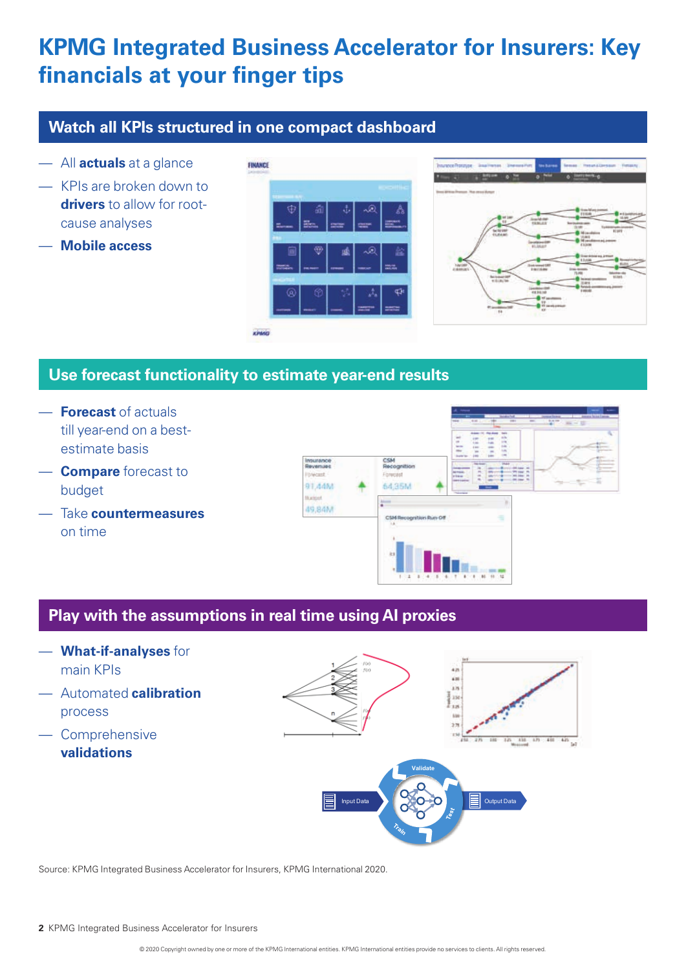## **KPMG Integrated Business Accelerator for Insurers: Key financials at your finger tips**

## **Watch all KPIs structured in one compact dashboard**

- All **actuals** at a glance
- KPIs are broken down to **drivers** to allow for rootcause analyses
- **Mobile access**





## **Use forecast functionality to estimate year-end results**

- **Forecast** of actuals till year-end on a bestestimate basis
- **Compare** forecast to budget
- Take **countermeasures** on time



## **Play with the assumptions in real time using AI proxies**

- **What-if-analyses** for main KPIs
- Automated **calibration** process
- Comprehensive **validations**



Source: KPMG Integrated Business Accelerator for Insurers, KPMG International 2020.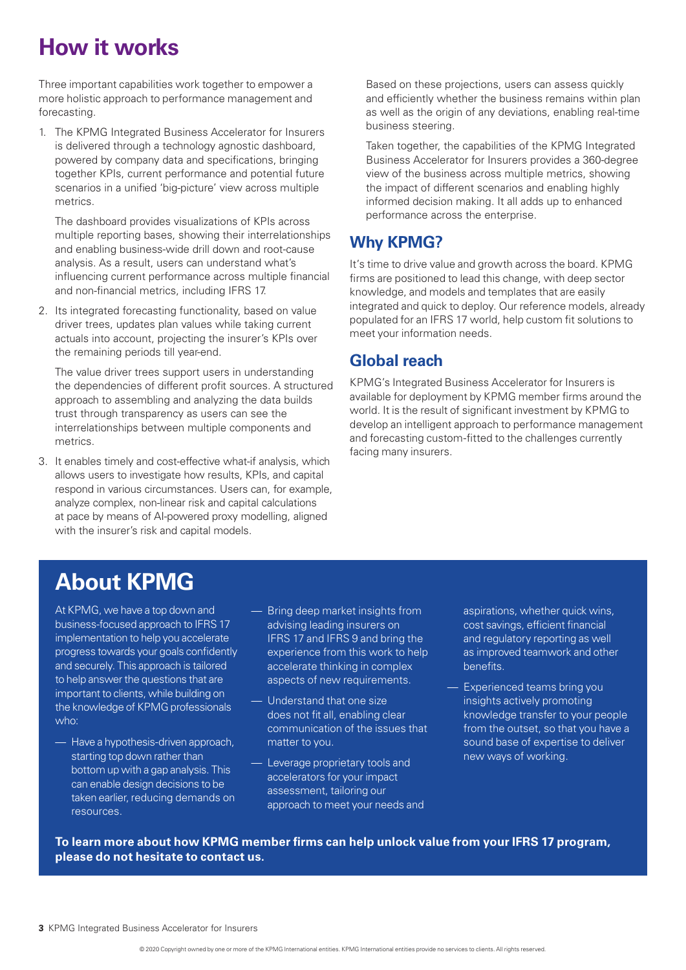## **How it works**

Three important capabilities work together to empower a more holistic approach to performance management and forecasting.

1. The KPMG Integrated Business Accelerator for Insurers is delivered through a technology agnostic dashboard, powered by company data and specifications, bringing together KPIs, current performance and potential future scenarios in a unified 'big-picture' view across multiple metrics.

The dashboard provides visualizations of KPIs across multiple reporting bases, showing their interrelationships and enabling business-wide drill down and root-cause analysis. As a result, users can understand what's influencing current performance across multiple financial and non-financial metrics, including IFRS 17.

2. Its integrated forecasting functionality, based on value driver trees, updates plan values while taking current actuals into account, projecting the insurer's KPIs over the remaining periods till year-end.

The value driver trees support users in understanding the dependencies of different profit sources. A structured approach to assembling and analyzing the data builds trust through transparency as users can see the interrelationships between multiple components and metrics.

3. It enables timely and cost-effective what-if analysis, which allows users to investigate how results, KPIs, and capital respond in various circumstances. Users can, for example, analyze complex, non-linear risk and capital calculations at pace by means of AI-powered proxy modelling, aligned with the insurer's risk and capital models.

Based on these projections, users can assess quickly and efficiently whether the business remains within plan as well as the origin of any deviations, enabling real-time business steering.

Taken together, the capabilities of the KPMG Integrated Business Accelerator for Insurers provides a 360-degree view of the business across multiple metrics, showing the impact of different scenarios and enabling highly informed decision making. It all adds up to enhanced performance across the enterprise.

### **Why KPMG?**

It's time to drive value and growth across the board. KPMG firms are positioned to lead this change, with deep sector knowledge, and models and templates that are easily integrated and quick to deploy. Our reference models, already populated for an IFRS 17 world, help custom fit solutions to meet your information needs.

#### **Global reach**

KPMG's Integrated Business Accelerator for Insurers is available for deployment by KPMG member firms around the world. It is the result of significant investment by KPMG to develop an intelligent approach to performance management and forecasting custom-fitted to the challenges currently facing many insurers.

## **About KPMG**

At KPMG, we have a top down and business-focused approach to IFRS 17 implementation to help you accelerate progress towards your goals confidently and securely. This approach is tailored to help answer the questions that are important to clients, while building on the knowledge of KPMG professionals who:

- Have a hypothesis-driven approach, starting top down rather than bottom up with a gap analysis. This can enable design decisions to be taken earlier, reducing demands on resources.
- Bring deep market insights from advising leading insurers on IFRS 17 and IFRS 9 and bring the experience from this work to help accelerate thinking in complex aspects of new requirements.
- Understand that one size does not fit all, enabling clear communication of the issues that matter to you.
- Leverage proprietary tools and accelerators for your impact assessment, tailoring our approach to meet your needs and

aspirations, whether quick wins, cost savings, efficient financial and regulatory reporting as well as improved teamwork and other benefits.

— Experienced teams bring you insights actively promoting knowledge transfer to your people from the outset, so that you have a sound base of expertise to deliver new ways of working.

**To learn more about how KPMG member firms can help unlock value from your IFRS 17 program, please do not hesitate to contact us.**